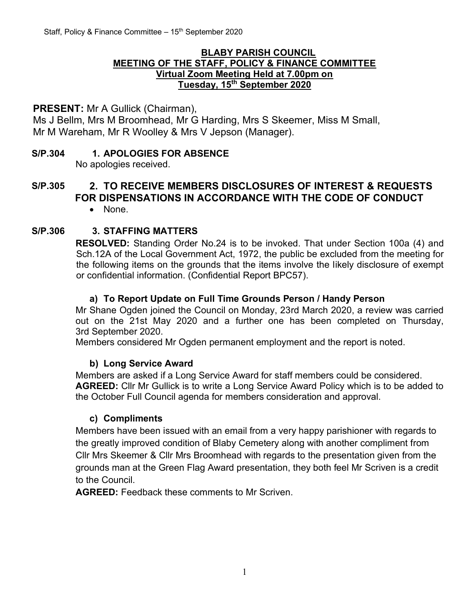#### **BLABY PARISH COUNCIL MEETING OF THE STAFF, POLICY & FINANCE COMMITTEE Virtual Zoom Meeting Held at 7.00pm on Tuesday, 15th September 2020**

## **PRESENT:** Mr A Gullick (Chairman),

Ms J Bellm, Mrs M Broomhead, Mr G Harding, Mrs S Skeemer, Miss M Small, Mr M Wareham, Mr R Woolley & Mrs V Jepson (Manager).

# **S/P.304 1. APOLOGIES FOR ABSENCE**

No apologies received.

# **S/P.305 2. TO RECEIVE MEMBERS DISCLOSURES OF INTEREST & REQUESTS FOR DISPENSATIONS IN ACCORDANCE WITH THE CODE OF CONDUCT**

• None.

## **S/P.306 3. STAFFING MATTERS**

**RESOLVED:** Standing Order No.24 is to be invoked. That under Section 100a (4) and Sch.12A of the Local Government Act, 1972, the public be excluded from the meeting for the following items on the grounds that the items involve the likely disclosure of exempt or confidential information. (Confidential Report BPC57).

## **a) To Report Update on Full Time Grounds Person / Handy Person**

Mr Shane Ogden joined the Council on Monday, 23rd March 2020, a review was carried out on the 21st May 2020 and a further one has been completed on Thursday, 3rd September 2020.

Members considered Mr Ogden permanent employment and the report is noted.

## **b) Long Service Award**

Members are asked if a Long Service Award for staff members could be considered. **AGREED:** Cllr Mr Gullick is to write a Long Service Award Policy which is to be added to the October Full Council agenda for members consideration and approval.

#### **c) Compliments**

Members have been issued with an email from a very happy parishioner with regards to the greatly improved condition of Blaby Cemetery along with another compliment from Cllr Mrs Skeemer & Cllr Mrs Broomhead with regards to the presentation given from the grounds man at the Green Flag Award presentation, they both feel Mr Scriven is a credit to the Council.

**AGREED:** Feedback these comments to Mr Scriven.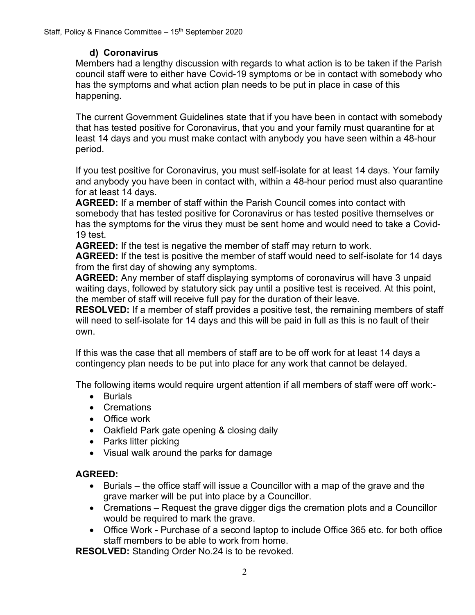## **d) Coronavirus**

Members had a lengthy discussion with regards to what action is to be taken if the Parish council staff were to either have Covid-19 symptoms or be in contact with somebody who has the symptoms and what action plan needs to be put in place in case of this happening.

The current Government Guidelines state that if you have been in contact with somebody that has tested positive for Coronavirus, that you and your family must quarantine for at least 14 days and you must make contact with anybody you have seen within a 48-hour period.

If you test positive for Coronavirus, you must self-isolate for at least 14 days. Your family and anybody you have been in contact with, within a 48-hour period must also quarantine for at least 14 days.

**AGREED:** If a member of staff within the Parish Council comes into contact with somebody that has tested positive for Coronavirus or has tested positive themselves or has the symptoms for the virus they must be sent home and would need to take a Covid-19 test.

**AGREED:** If the test is negative the member of staff may return to work.

**AGREED:** If the test is positive the member of staff would need to self-isolate for 14 days from the first day of showing any symptoms.

**AGREED:** Any member of staff displaying symptoms of coronavirus will have 3 unpaid waiting days, followed by statutory sick pay until a positive test is received. At this point, the member of staff will receive full pay for the duration of their leave.

**RESOLVED:** If a member of staff provides a positive test, the remaining members of staff will need to self-isolate for 14 days and this will be paid in full as this is no fault of their own.

If this was the case that all members of staff are to be off work for at least 14 days a contingency plan needs to be put into place for any work that cannot be delayed.

The following items would require urgent attention if all members of staff were off work:-

- Burials
- Cremations
- Office work
- Oakfield Park gate opening & closing daily
- Parks litter picking
- Visual walk around the parks for damage

# **AGREED:**

- Burials the office staff will issue a Councillor with a map of the grave and the grave marker will be put into place by a Councillor.
- Cremations Request the grave digger digs the cremation plots and a Councillor would be required to mark the grave.
- Office Work Purchase of a second laptop to include Office 365 etc. for both office staff members to be able to work from home.

**RESOLVED:** Standing Order No.24 is to be revoked.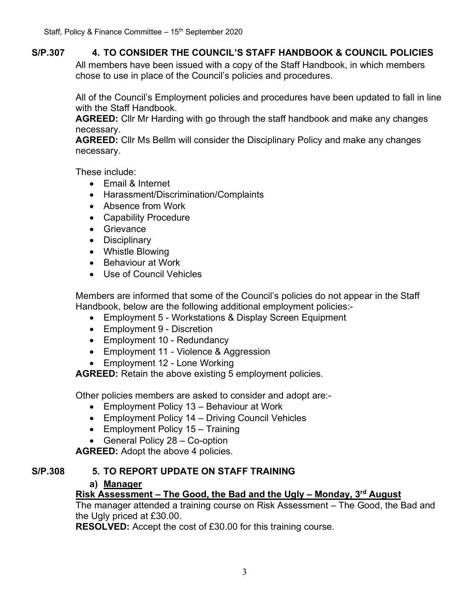## **S/P.307 4. TO CONSIDER THE COUNCIL'S STAFF HANDBOOK & COUNCIL POLICIES**

All members have been issued with a copy of the Staff Handbook, in which members chose to use in place of the Council's policies and procedures.

All of the Council's Employment policies and procedures have been updated to fall in line with the Staff Handbook.

**AGREED:** Cllr Mr Harding with go through the staff handbook and make any changes necessary.

**AGREED:** Cllr Ms Bellm will consider the Disciplinary Policy and make any changes necessary.

These include:

- Email & Internet
- Harassment/Discrimination/Complaints
- Absence from Work
- Capability Procedure
- Grievance
- Disciplinary
- Whistle Blowing
- Behaviour at Work
- Use of Council Vehicles

Members are informed that some of the Council's policies do not appear in the Staff Handbook, below are the following additional employment policies:-

- Employment 5 Workstations & Display Screen Equipment
- Employment 9 Discretion
- Employment 10 Redundancy
- Employment 11 Violence & Aggression
- Employment 12 Lone Working

**AGREED:** Retain the above existing 5 employment policies.

Other policies members are asked to consider and adopt are:-

- Employment Policy 13 Behaviour at Work
- Employment Policy 14 Driving Council Vehicles
- Employment Policy 15 Training
- General Policy 28 Co-option

**AGREED:** Adopt the above 4 policies.

#### **S/P.308 5. TO REPORT UPDATE ON STAFF TRAINING**

#### **a) Manager**

## **Risk Assessment – The Good, the Bad and the Ugly – Monday, 3 rd August**

The manager attended a training course on Risk Assessment – The Good, the Bad and the Ugly priced at £30.00.

**RESOLVED:** Accept the cost of £30.00 for this training course.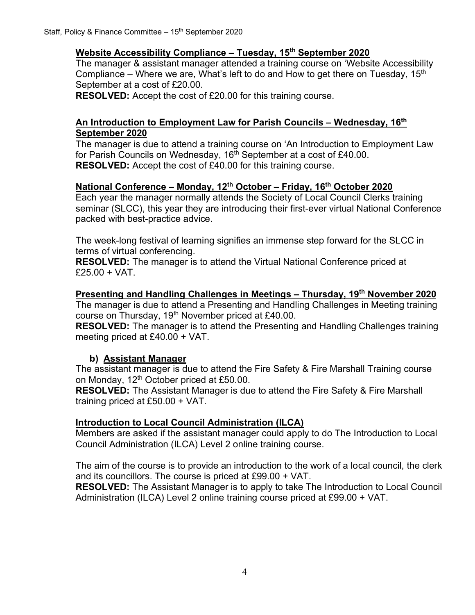## **Website Accessibility Compliance – Tuesday, 15th September 2020**

The manager & assistant manager attended a training course on 'Website Accessibility Compliance – Where we are, What's left to do and How to get there on Tuesday, 15<sup>th</sup> September at a cost of £20.00.

**RESOLVED:** Accept the cost of £20.00 for this training course.

#### **An Introduction to Employment Law for Parish Councils – Wednesday, 16th September 2020**

The manager is due to attend a training course on 'An Introduction to Employment Law for Parish Councils on Wednesday, 16<sup>th</sup> September at a cost of £40.00. **RESOLVED:** Accept the cost of £40.00 for this training course.

## **National Conference – Monday, 12th October – Friday, 16th October 2020**

Each year the manager normally attends the Society of Local Council Clerks training seminar (SLCC), this year they are introducing their first-ever virtual National Conference packed with best-practice advice.

The week-long festival of learning signifies an immense step forward for the SLCC in terms of virtual conferencing.

**RESOLVED:** The manager is to attend the Virtual National Conference priced at  $£25.00 + VAT.$ 

## **Presenting and Handling Challenges in Meetings – Thursday, 19th November 2020**

The manager is due to attend a Presenting and Handling Challenges in Meeting training course on Thursday, 19<sup>th</sup> November priced at £40.00.

**RESOLVED:** The manager is to attend the Presenting and Handling Challenges training meeting priced at £40.00 + VAT.

## **b) Assistant Manager**

The assistant manager is due to attend the Fire Safety & Fire Marshall Training course on Monday, 12<sup>th</sup> October priced at £50.00.

**RESOLVED:** The Assistant Manager is due to attend the Fire Safety & Fire Marshall training priced at £50.00 + VAT.

## **Introduction to Local Council Administration (ILCA)**

Members are asked if the assistant manager could apply to do The Introduction to Local Council Administration (ILCA) Level 2 online training course.

The aim of the course is to provide an introduction to the work of a local council, the clerk and its councillors. The course is priced at £99.00 + VAT.

**RESOLVED:** The Assistant Manager is to apply to take The Introduction to Local Council Administration (ILCA) Level 2 online training course priced at £99.00 + VAT.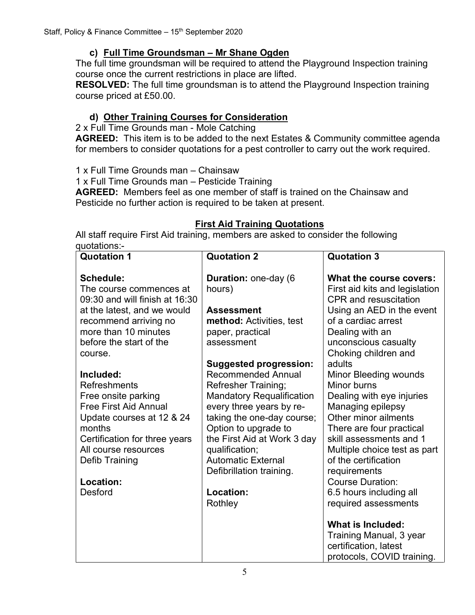## **c) Full Time Groundsman – Mr Shane Ogden**

The full time groundsman will be required to attend the Playground Inspection training course once the current restrictions in place are lifted.

**RESOLVED:** The full time groundsman is to attend the Playground Inspection training course priced at £50.00.

# **d) Other Training Courses for Consideration**

2 x Full Time Grounds man - Mole Catching

**AGREED:** This item is to be added to the next Estates & Community committee agenda for members to consider quotations for a pest controller to carry out the work required.

1 x Full Time Grounds man – Chainsaw

1 x Full Time Grounds man – Pesticide Training

**AGREED:** Members feel as one member of staff is trained on the Chainsaw and Pesticide no further action is required to be taken at present.

## **First Aid Training Quotations**

All staff require First Aid training, members are asked to consider the following quotations:-

| <b>Quotation 1</b>                                                                                                                                                                                        | <b>Quotation 2</b>                                                                                                                                                                                                                                          | <b>Quotation 3</b>                                                                                                                                                                                                            |
|-----------------------------------------------------------------------------------------------------------------------------------------------------------------------------------------------------------|-------------------------------------------------------------------------------------------------------------------------------------------------------------------------------------------------------------------------------------------------------------|-------------------------------------------------------------------------------------------------------------------------------------------------------------------------------------------------------------------------------|
| <b>Schedule:</b><br>The course commences at<br>09:30 and will finish at 16:30                                                                                                                             | Duration: one-day (6<br>hours)                                                                                                                                                                                                                              | What the course covers:<br>First aid kits and legislation<br><b>CPR</b> and resuscitation                                                                                                                                     |
| at the latest, and we would                                                                                                                                                                               | <b>Assessment</b>                                                                                                                                                                                                                                           | Using an AED in the event                                                                                                                                                                                                     |
| recommend arriving no<br>more than 10 minutes                                                                                                                                                             | <b>method:</b> Activities, test<br>paper, practical                                                                                                                                                                                                         | of a cardiac arrest<br>Dealing with an                                                                                                                                                                                        |
| before the start of the                                                                                                                                                                                   | assessment                                                                                                                                                                                                                                                  | unconscious casualty                                                                                                                                                                                                          |
| course.                                                                                                                                                                                                   | <b>Suggested progression:</b>                                                                                                                                                                                                                               | Choking children and<br>adults                                                                                                                                                                                                |
| Included:<br><b>Refreshments</b><br>Free onsite parking<br><b>Free First Aid Annual</b><br>Update courses at 12 & 24<br>months<br>Certification for three years<br>All course resources<br>Defib Training | <b>Recommended Annual</b><br><b>Refresher Training;</b><br><b>Mandatory Requalification</b><br>every three years by re-<br>taking the one-day course;<br>Option to upgrade to<br>the First Aid at Work 3 day<br>qualification;<br><b>Automatic External</b> | Minor Bleeding wounds<br>Minor burns<br>Dealing with eye injuries<br>Managing epilepsy<br>Other minor ailments<br>There are four practical<br>skill assessments and 1<br>Multiple choice test as part<br>of the certification |
| Location:                                                                                                                                                                                                 | Defibrillation training.                                                                                                                                                                                                                                    | requirements<br><b>Course Duration:</b>                                                                                                                                                                                       |
| <b>Desford</b>                                                                                                                                                                                            | Location:<br>Rothley                                                                                                                                                                                                                                        | 6.5 hours including all<br>required assessments                                                                                                                                                                               |
|                                                                                                                                                                                                           |                                                                                                                                                                                                                                                             | What is Included:                                                                                                                                                                                                             |
|                                                                                                                                                                                                           |                                                                                                                                                                                                                                                             | Training Manual, 3 year<br>certification, latest                                                                                                                                                                              |
|                                                                                                                                                                                                           |                                                                                                                                                                                                                                                             | protocols, COVID training.                                                                                                                                                                                                    |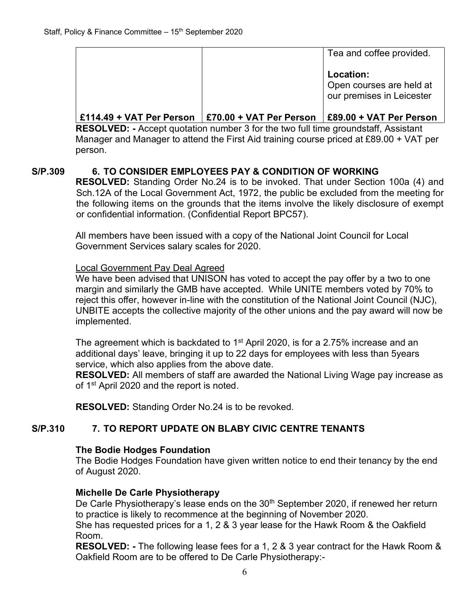|  | Tea and coffee provided.                                           |
|--|--------------------------------------------------------------------|
|  | Location:<br>Open courses are held at<br>our premises in Leicester |
|  |                                                                    |

## **£114.49 + VAT Per Person £70.00 + VAT Per Person £89.00 + VAT Per Person**

**RESOLVED: -** Accept quotation number 3 for the two full time groundstaff, Assistant Manager and Manager to attend the First Aid training course priced at £89.00 + VAT per person.

## **S/P.309 6. TO CONSIDER EMPLOYEES PAY & CONDITION OF WORKING**

**RESOLVED:** Standing Order No.24 is to be invoked. That under Section 100a (4) and Sch.12A of the Local Government Act, 1972, the public be excluded from the meeting for the following items on the grounds that the items involve the likely disclosure of exempt or confidential information. (Confidential Report BPC57).

All members have been issued with a copy of the National Joint Council for Local Government Services salary scales for 2020.

#### Local Government Pay Deal Agreed

We have been advised that UNISON has voted to accept the pay offer by a two to one margin and similarly the GMB have accepted. While UNITE members voted by 70% to reject this offer, however in-line with the constitution of the National Joint Council (NJC), UNBITE accepts the collective majority of the other unions and the pay award will now be implemented.

The agreement which is backdated to 1<sup>st</sup> April 2020, is for a 2.75% increase and an additional days' leave, bringing it up to 22 days for employees with less than 5years service, which also applies from the above date.

**RESOLVED:** All members of staff are awarded the National Living Wage pay increase as of 1<sup>st</sup> April 2020 and the report is noted.

**RESOLVED:** Standing Order No.24 is to be revoked.

## **S/P.310 7. TO REPORT UPDATE ON BLABY CIVIC CENTRE TENANTS**

#### **The Bodie Hodges Foundation**

The Bodie Hodges Foundation have given written notice to end their tenancy by the end of August 2020.

#### **Michelle De Carle Physiotherapy**

De Carle Physiotherapy's lease ends on the 30<sup>th</sup> September 2020, if renewed her return to practice is likely to recommence at the beginning of November 2020.

She has requested prices for a 1, 2 & 3 year lease for the Hawk Room & the Oakfield Room.

**RESOLVED: -** The following lease fees for a 1, 2 & 3 year contract for the Hawk Room & Oakfield Room are to be offered to De Carle Physiotherapy:-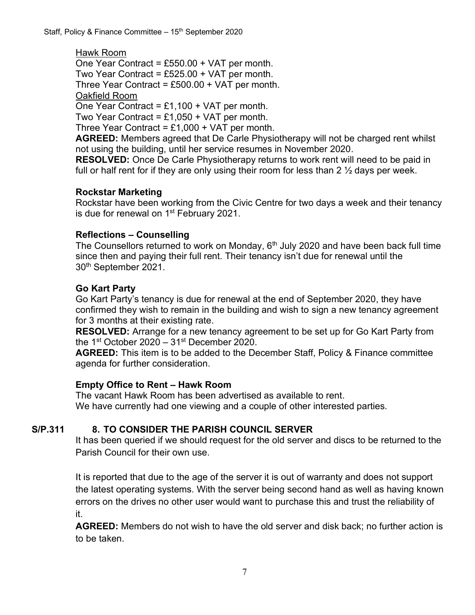Hawk Room One Year Contract = £550.00 + VAT per month. Two Year Contract =  $£525.00 + VAT$  per month. Three Year Contract =  $£500.00 + VAT$  per month.

Oakfield Room

One Year Contract =  $£1,100 + VAT$  per month.

Two Year Contract =  $£1,050 + VAT$  per month.

Three Year Contract =  $£1,000 + VAT$  per month.

**AGREED:** Members agreed that De Carle Physiotherapy will not be charged rent whilst not using the building, until her service resumes in November 2020.

**RESOLVED:** Once De Carle Physiotherapy returns to work rent will need to be paid in full or half rent for if they are only using their room for less than 2  $\frac{1}{2}$  days per week.

## **Rockstar Marketing**

Rockstar have been working from the Civic Centre for two days a week and their tenancy is due for renewal on 1<sup>st</sup> February 2021.

## **Reflections – Counselling**

The Counsellors returned to work on Monday,  $6<sup>th</sup>$  July 2020 and have been back full time since then and paying their full rent. Their tenancy isn't due for renewal until the 30th September 2021.

## **Go Kart Party**

Go Kart Party's tenancy is due for renewal at the end of September 2020, they have confirmed they wish to remain in the building and wish to sign a new tenancy agreement for 3 months at their existing rate.

**RESOLVED:** Arrange for a new tenancy agreement to be set up for Go Kart Party from the 1<sup>st</sup> October 2020 – 31<sup>st</sup> December 2020.

**AGREED:** This item is to be added to the December Staff, Policy & Finance committee agenda for further consideration.

#### **Empty Office to Rent – Hawk Room**

The vacant Hawk Room has been advertised as available to rent. We have currently had one viewing and a couple of other interested parties.

## **S/P.311 8. TO CONSIDER THE PARISH COUNCIL SERVER**

It has been queried if we should request for the old server and discs to be returned to the Parish Council for their own use.

It is reported that due to the age of the server it is out of warranty and does not support the latest operating systems. With the server being second hand as well as having known errors on the drives no other user would want to purchase this and trust the reliability of it.

**AGREED:** Members do not wish to have the old server and disk back; no further action is to be taken.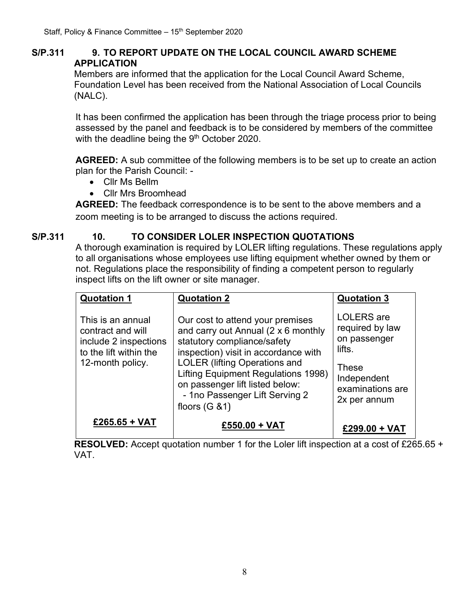## **S/P.311 9. TO REPORT UPDATE ON THE LOCAL COUNCIL AWARD SCHEME APPLICATION**

Members are informed that the application for the Local Council Award Scheme, Foundation Level has been received from the National Association of Local Councils (NALC).

It has been confirmed the application has been through the triage process prior to being assessed by the panel and feedback is to be considered by members of the committee with the deadline being the  $9<sup>th</sup>$  October 2020.

**AGREED:** A sub committee of the following members is to be set up to create an action plan for the Parish Council: -

- Cllr Ms Bellm
- Cllr Mrs Broomhead

**AGREED:** The feedback correspondence is to be sent to the above members and a zoom meeting is to be arranged to discuss the actions required.

## **S/P.311 10. TO CONSIDER LOLER INSPECTION QUOTATIONS**

A thorough examination is required by LOLER lifting regulations. These regulations apply to all organisations whose employees use lifting equipment whether owned by them or not. Regulations place the responsibility of finding a competent person to regularly inspect lifts on the lift owner or site manager.

| <b>Quotation 1</b>                                                                                            | <b>Quotation 2</b>                                                                                                                                                                                                                                                                                                           | <b>Quotation 3</b>                                                                                                         |
|---------------------------------------------------------------------------------------------------------------|------------------------------------------------------------------------------------------------------------------------------------------------------------------------------------------------------------------------------------------------------------------------------------------------------------------------------|----------------------------------------------------------------------------------------------------------------------------|
| This is an annual<br>contract and will<br>include 2 inspections<br>to the lift within the<br>12-month policy. | Our cost to attend your premises<br>and carry out Annual (2 x 6 monthly<br>statutory compliance/safety<br>inspection) visit in accordance with<br><b>LOLER (lifting Operations and</b><br><b>Lifting Equipment Regulations 1998)</b><br>on passenger lift listed below:<br>- 1no Passenger Lift Serving 2<br>floors $(G 81)$ | <b>LOLERS</b> are<br>required by law<br>on passenger<br>lifts.<br>These<br>Independent<br>examinations are<br>2x per annum |
| £265.65 + VAT                                                                                                 | £550.00 + VAT                                                                                                                                                                                                                                                                                                                | £299.00 + VAT                                                                                                              |

**RESOLVED:** Accept quotation number 1 for the Loler lift inspection at a cost of £265.65 + VAT.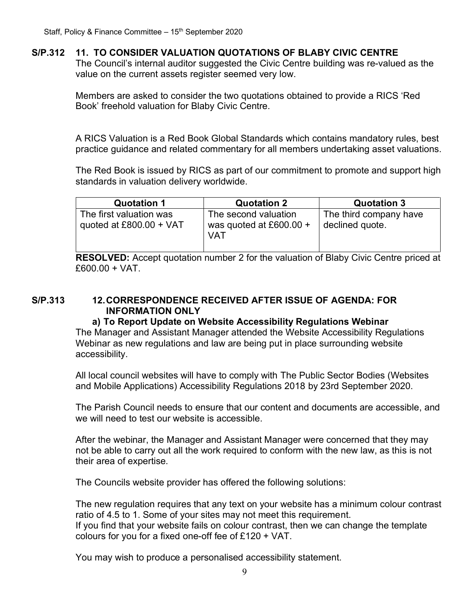## **S/P.312 11. TO CONSIDER VALUATION QUOTATIONS OF BLABY CIVIC CENTRE**

The Council's internal auditor suggested the Civic Centre building was re-valued as the value on the current assets register seemed very low.

Members are asked to consider the two quotations obtained to provide a RICS 'Red Book' freehold valuation for Blaby Civic Centre.

A RICS Valuation is a Red Book Global Standards which contains mandatory rules, best practice guidance and related commentary for all members undertaking asset valuations.

The Red Book is issued by RICS as part of our commitment to promote and support high standards in valuation delivery worldwide.

| <b>Quotation 1</b>                                   | <b>Quotation 2</b>                                       | <b>Quotation 3</b>                        |
|------------------------------------------------------|----------------------------------------------------------|-------------------------------------------|
| The first valuation was<br>quoted at $£800.00 + VAT$ | The second valuation<br>was quoted at £600.00 $+$<br>VAT | The third company have<br>declined quote. |

**RESOLVED:** Accept quotation number 2 for the valuation of Blaby Civic Centre priced at £600.00 + VAT.

## **S/P.313 12.CORRESPONDENCE RECEIVED AFTER ISSUE OF AGENDA: FOR INFORMATION ONLY**

#### **a) To Report Update on Website Accessibility Regulations Webinar**

The Manager and Assistant Manager attended the Website Accessibility Regulations Webinar as new regulations and law are being put in place surrounding website accessibility.

All local council websites will have to comply with [The Public Sector Bodies \(Websites](https://www.gov.uk/guidance/accessibility-requirements-for-public-sector-websites-and-apps)  [and Mobile Applications\) Accessibility Regulations 2018](https://www.gov.uk/guidance/accessibility-requirements-for-public-sector-websites-and-apps) by 23rd September 2020.

The Parish Council needs to ensure that our content and documents are accessible, and we will need to test our website is accessible.

After the webinar, the Manager and Assistant Manager were concerned that they may not be able to carry out all the work required to conform with the new law, as this is not their area of expertise.

The Councils website provider has offered the following solutions:

The new regulation requires that any text on your website has a minimum colour contrast ratio of 4.5 to 1. Some of your sites may not meet this requirement. If you find that your website fails on colour contrast, then we can change the template colours for you for a fixed one-off fee of £120 + VAT.

You may wish to produce a [personalised accessibility statement.](https://www.2commune.com/2commune-accessibility.html)